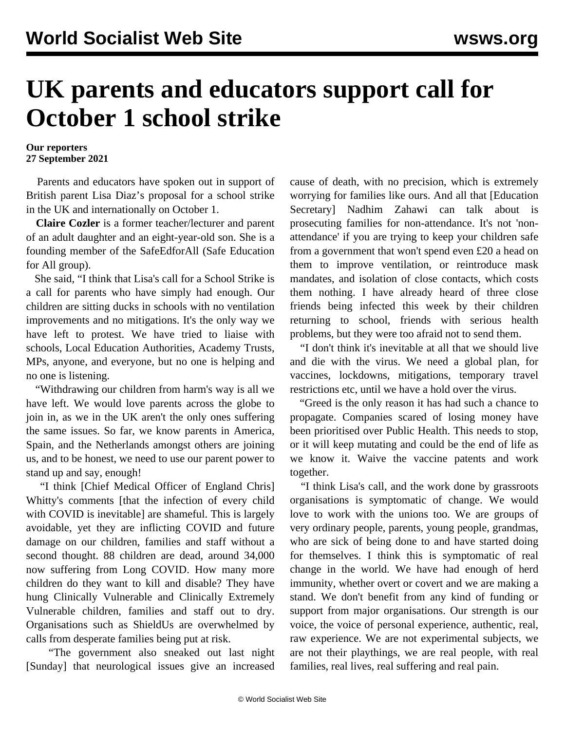## **UK parents and educators support call for October 1 school strike**

## **Our reporters 27 September 2021**

 Parents and educators have spoken out in support of British parent Lisa Diaz's proposal for a [school strike](/en/articles/2021/09/27/pers-s27.html) in the UK and internationally on October 1.

 **Claire Cozler** is a former teacher/lecturer and parent of an adult daughter and an eight-year-old son. She is a founding member of the SafeEdforAll (Safe Education for All group).

 She said, "I think that Lisa's call for a School Strike is a call for parents who have simply had enough. Our children are sitting ducks in schools with no ventilation improvements and no mitigations. It's the only way we have left to protest. We have tried to liaise with schools, Local Education Authorities, Academy Trusts, MPs, anyone, and everyone, but no one is helping and no one is listening.

 "Withdrawing our children from harm's way is all we have left. We would love parents across the globe to join in, as we in the UK aren't the only ones suffering the same issues. So far, we know parents in America, Spain, and the Netherlands amongst others are joining us, and to be honest, we need to use our parent power to stand up and say, enough!

 "I think [Chief Medical Officer of England Chris] Whitty's comments [that the infection of every child with COVID is inevitable] are shameful. This is largely avoidable, yet they are inflicting COVID and future damage on our children, families and staff without a second thought. 88 children are dead, around 34,000 now suffering from Long COVID. How many more children do they want to kill and disable? They have hung Clinically Vulnerable and Clinically Extremely Vulnerable children, families and staff out to dry. Organisations such as ShieldUs are overwhelmed by calls from desperate families being put at risk.

 "The government also sneaked out last night [Sunday] that neurological issues give an increased cause of death, with no precision, which is extremely worrying for families like ours. And all that [Education Secretary] Nadhim Zahawi can talk about is prosecuting families for non-attendance. It's not 'nonattendance' if you are trying to keep your children safe from a government that won't spend even £20 a head on them to improve ventilation, or reintroduce mask mandates, and isolation of close contacts, which costs them nothing. I have already heard of three close friends being infected this week by their children returning to school, friends with serious health problems, but they were too afraid not to send them.

 "I don't think it's inevitable at all that we should live and die with the virus. We need a global plan, for vaccines, lockdowns, mitigations, temporary travel restrictions etc, until we have a hold over the virus.

 "Greed is the only reason it has had such a chance to propagate. Companies scared of losing money have been prioritised over Public Health. This needs to stop, or it will keep mutating and could be the end of life as we know it. Waive the vaccine patents and work together.

 "I think Lisa's call, and the work done by grassroots organisations is symptomatic of change. We would love to work with the unions too. We are groups of very ordinary people, parents, young people, grandmas, who are sick of being done to and have started doing for themselves. I think this is symptomatic of real change in the world. We have had enough of herd immunity, whether overt or covert and we are making a stand. We don't benefit from any kind of funding or support from major organisations. Our strength is our voice, the voice of personal experience, authentic, real, raw experience. We are not experimental subjects, we are not their playthings, we are real people, with real families, real lives, real suffering and real pain.